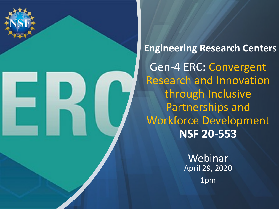

**Engineering Research Centers** Gen-4 ERC: Convergent Research and Innovation through Inclusive Partnerships and Workforce Development **NSF 20-553**

> Webinar April 29, 2020 1pm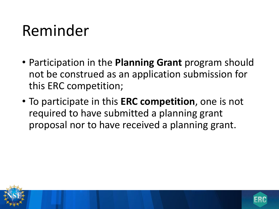### Reminder

- Participation in the **Planning Grant** program should not be construed as an application submission for this ERC competition;
- To participate in this **ERC competition**, one is not required to have submitted a planning grant proposal nor to have received a planning grant.



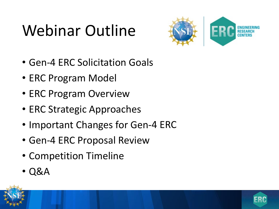## Webinar Outline



- Gen-4 ERC Solicitation Goals
- ERC Program Model
- ERC Program Overview
- ERC Strategic Approaches
- Important Changes for Gen-4 ERC
- Gen-4 ERC Proposal Review
- Competition Timeline
- Q&A



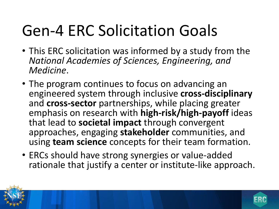## Gen-4 ERC Solicitation Goals

- This ERC solicitation was informed by a study from the *National Academies of Sciences, Engineering, and Medicine*.
- The program continues to focus on advancing an engineered system through inclusive **cross-disciplinary** and **cross-sector** partnerships, while placing greater emphasis on research with **high-risk/high-payoff** ideas that lead to **societal impact** through convergent approaches, engaging **stakeholder** communities, and using **team science** concepts for their team formation.
- ERCs should have strong synergies or value-added rationale that justify a center or institute-like approach.

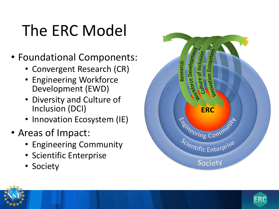## The ERC Model

- Foundational Components:
	- Convergent Research (CR)
	- Engineering Workforce Development (EWD)
	- Diversity and Culture of Inc lusion (DCI)
	- Innovation Ecosystem (IE)
- Areas of Impact:
	- Engineering Community
	- Scientific Enterprise
	- Society





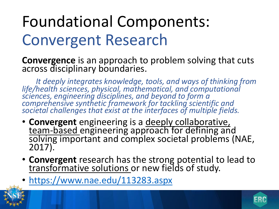## Foundational Components: Convergent Research

**Convergence** is an approach to problem solving that cuts across disciplinary boundaries.

*It deeply integrates knowledge, tools, and ways of thinking from life/health sciences, physical, mathematical, and computational sciences, engineering disciplines, and beyond to form a comprehensive synthetic framework for tackling scientific and societal challenges that exist at the interfaces of multiple fields.*

- **Convergent** engineering is a deeply collaborative, team-based engineering approach for defining and<br>solving important and complex societal problems (NAE, 2017).
- **Convergent** research has the strong potential to lead to transformative solutions or new fields of study.
- <https://www.nae.edu/113283.aspx>



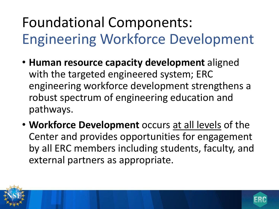### Foundational Components: Engineering Workforce Development

- **Human resource capacity development** aligned with the targeted engineered system; ERC engineering workforce development strengthens a robust spectrum of engineering education and pathways.
- **Workforce Development** occurs at all levels of the Center and provides opportunities for engagement by all ERC members including students, faculty, and external partners as appropriate.

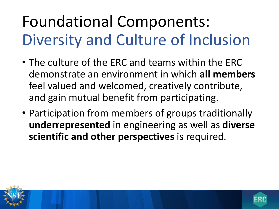## Foundational Components: Diversity and Culture of Inclusion

- The culture of the ERC and teams within the ERC demonstrate an environment in which **all members** feel valued and welcomed, creatively contribute, and gain mutual benefit from participating.
- Participation from members of groups traditionally **underrepresented** in engineering as well as **diverse scientific and other perspectives** is required.



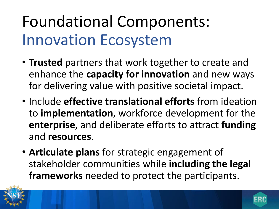### Foundational Components: Innovation Ecosystem

- **Trusted** partners that work together to create and enhance the **capacity for innovation** and new ways for delivering value with positive societal impact.
- Include **effective translational efforts** from ideation to **implementation**, workforce development for the **enterprise**, and deliberate efforts to attract **funding** and **resources**.
- **Articulate plans** for strategic engagement of stakeholder communities while **including the legal frameworks** needed to protect the participants.



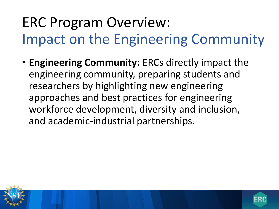### ERC Program Overview: Impact on the Engineering Community

• **Engineering Community:** ERCs directly impact the engineering community, preparing students and researchers by highlighting new engineering approaches and best practices for engineering workforce development, diversity and inclusion, and academic-industrial partnerships.



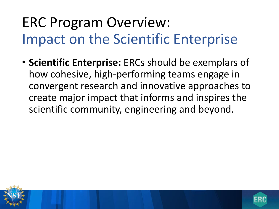### ERC Program Overview: Impact on the Scientific Enterprise

• **Scientific Enterprise:** ERCs should be exemplars of how cohesive, high-performing teams engage in convergent research and innovative approaches to create major impact that informs and inspires the scientific community, engineering and beyond.



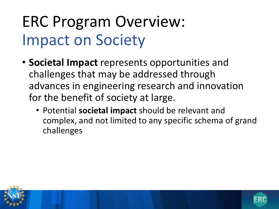## ERC Program Overview: Impact on Society

- **Societal Impact** represents opportunities and challenges that may be addressed through advances in engineering research and innovation for the benefit of society at large.
	- Potential **societal impact** should be relevant and complex, and not limited to any specific schema of grand challenges



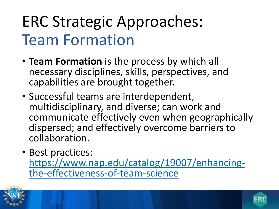### ERC Strategic Approaches: Team Formation

- **Team Formation** is the process by which all necessary disciplines, skills, perspectives, and capabilities are brought together.
- Successful teams are interdependent, multidisciplinary, and diverse; can work and communicate effectively even when geographically dispersed; and effectively overcome barriers to collaboration.
- Best practices: [https://www.nap.edu/catalog/19007/enhancing-](https://www.nap.edu/catalog/19007/enhancing-the-effectiveness-of-team-science) the-effectiveness-of-team-science



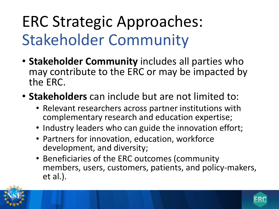## ERC Strategic Approaches: Stakeholder Community

- **Stakeholder Community** includes all parties who may contribute to the ERC or may be impacted by the ERC.
- **Stakeholders** can include but are not limited to:
	- Relevant researchers across partner institutions with complementary research and education expertise;
	- Industry leaders who can guide the innovation effort;
	- Partners for innovation, education, workforce development, and diversity;
	- Beneficiaries of the ERC outcomes (community members, users, customers, patients, and policy-makers, et al.).

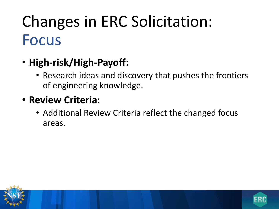### Changes in ERC Solicitation: Focus

- **High-risk/High-Payoff:**
	- Research ideas and discovery that pushes the frontiers of engineering knowledge.
- **Review Criteria**:
	- Additional Review Criteria reflect the changed focus areas.



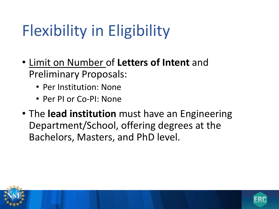## Flexibility in Eligibility

- Limit on Number of **Letters of Intent** and Preliminary Proposals:
	- Per Institution: None
	- Per PI or Co-PI: None
- The **lead institution** must have an Engineering Department/School, offering degrees at the Bachelors, Masters, and PhD level.

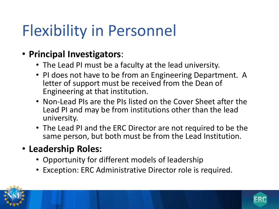### Flexibility in Personnel

#### • **Principal Investigators**:

- The Lead PI must be a faculty at the lead university.
- PI does not have to be from an Engineering Department. A letter of support must be received from the Dean of Engineering at that institution.
- Non-Lead PIs are the PIs listed on the Cover Sheet after the Lead PI and may be from institutions other than the lead university.
- The Lead PI and the ERC Director are not required to be the same person, but both must be from the Lead Institution.

### • **Leadership Roles:**

- Opportunity for different models of leadership
- Exception: ERC Administrative Director role is required.



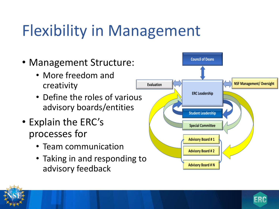## Flexibility in Management

- Management Structure:
	- More freedom and creativity
	- Define the roles of various advisory boards/entities
- Explain the ERC's processes for
	- Team communication
	- Taking in and responding to advisory feedback



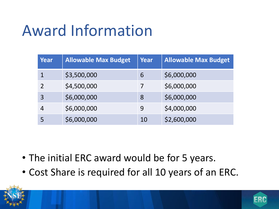### Award Information

| Year                     | <b>Allowable Max Budget</b> | Year | <b>Allowable Max Budget</b> |
|--------------------------|-----------------------------|------|-----------------------------|
|                          | \$3,500,000                 | 6    | \$6,000,000                 |
| $\overline{\phantom{a}}$ | \$4,500,000                 |      | \$6,000,000                 |
| 3                        | \$6,000,000                 | 8    | \$6,000,000                 |
| 4                        | \$6,000,000                 | 9    | \$4,000,000                 |
|                          | \$6,000,000                 | 10   | \$2,600,000                 |

- The initial ERC award would be for 5 years.
- Cost Share is required for all 10 years of an ERC.

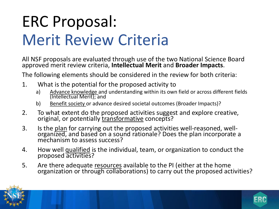## ERC Proposal: Merit Review Criteria

All NSF proposals are evaluated through use of the two National Science Board approved merit review criteria, **Intellectual Merit** and **Broader Impacts**.

The following elements should be considered in the review for both criteria:

- 1. What is the potential for the proposed activity to
	- a) Advance knowledge and understanding within its own field or across different fields (Intellectual Merit); and
	- b) Benefit society or advance desired societal outcomes (Broader Impacts)?
- 2. To what extent do the proposed activities suggest and explore creative, original, or potentially transformative concepts?
- 3. Is the plan for carrying out the proposed activities well-reasoned, well- organized, and based on a sound rationale? Does the plan incorporate a mechanism to assess success?
- 4. How well qualified is the individual, team, or organization to conduct the proposed activities?
- 5. Are there adequate resources available to the PI (either at the home organization or through collaborations) to carry out the proposed activities?

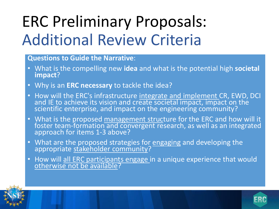## ERC Preliminary Proposals: Additional Review Criteria

#### **Questions to Guide the Narrative**:

- What is the compelling new **idea** and what is the potential high **societal impact**?
- Why is an **ERC necessary** to tackle the idea?
- How will the ERC's infrastructure integrate and implement CR, EWD, DCI and IE to achieve its vision and create societal impact, impact on the scientific enterprise, and impact on the engineering community?
- What is the proposed management structure for the ERC and how will it foster team-formation and convergent research, as well as an integrated<br>approach for items 1-3 above?
- What are the proposed strategies for engaging and developing the appropriate stakeholder community?
- How will all ERC participants engage in a unique experience that would



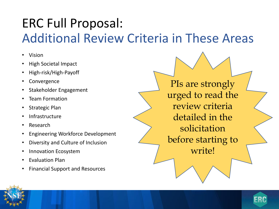### ERC Full Proposal: Additional Review Criteria in These Areas

- Vision
- High Societal Impact
- High-risk/High-Payoff
- **Convergence**
- Stakeholder Engagement
- Team Formation
- Strategic Plan
- **Infrastructure**
- Research
- Engineering Workforce Development
- Diversity and Culture of Inclusion
- Innovation Ecosystem
- Evaluation Plan
- Financial Support and Resources

PIs are strongly urged to read the review criteria detailed in the solicitation before starting to write!



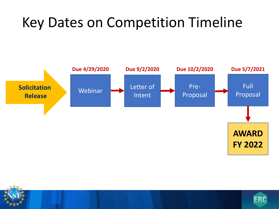### Key Dates on Competition Timeline





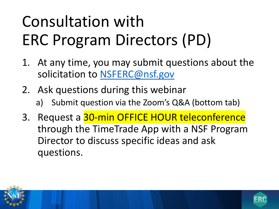## Consultation with ERC Program Directors (PD)

- 1. At any time, you may submit questions about the solicitation to [NSFERC@nsf.gov](mailto:NSFERC@nsf.gov)
- 2. Ask questions during this webinar
	- a) Submit question via the Zoom's Q&A (bottom tab)
- 3. Request a 30-min OFFICE HOUR teleconference through the TimeTrade App with a NSF Program Director to discuss specific ideas and ask questions.

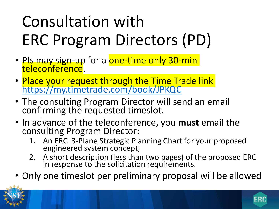## Consultation with ERC Program Directors (PD)

- <u>PIs may sign-u</u>p for a <mark>one-time only 30-min</mark> <mark>teleconference</mark>.
- Place your request through the Time Trade link <https://my.timetrade.com/book/JPKQC>
- The consulting Program Director will send an email confirming the requested timeslot.
- In advance of the teleconference, you **must** email the consulting Program Director:
	- 1. An ERC 3-Plane Strategic Planning Chart for your proposed engineered system concept;
	- 2. A short description (less than two pages) of the proposed ERC in response to the solicitation requirements.
- Only one timeslot per preliminary proposal will be allowed

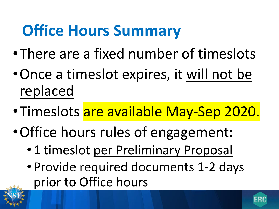### **Office Hours Summary**

- •There are a fixed number of timeslots
- •Once a timeslot expires, it will not be replaced
- •Timeslots are available May-Sep 2020.
- •Office hours rules of engagement:
	- 1 timeslot per Preliminary Proposal
	- Provide required documents 1-2 days prior to Office hours

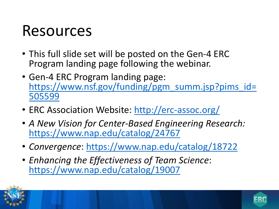### Resources

- This full slide set will be posted on the Gen-4 ERC Program landing page following the webinar.
- Gen-4 ERC Program landing page: [https://www.nsf.gov/funding/pgm\\_summ.jsp?pims\\_id=](https://www.nsf.gov/funding/pgm_summ.jsp?pims_id=505599) 505599
- ERC Association Website:<http://erc-assoc.org/>
- *A New Vision for Center-Based Engineering Research:* <https://www.nap.edu/catalog/24767>
- *Convergence*: <https://www.nap.edu/catalog/18722>
- *Enhancing the Effectiveness of Team Science*: <https://www.nap.edu/catalog/19007>